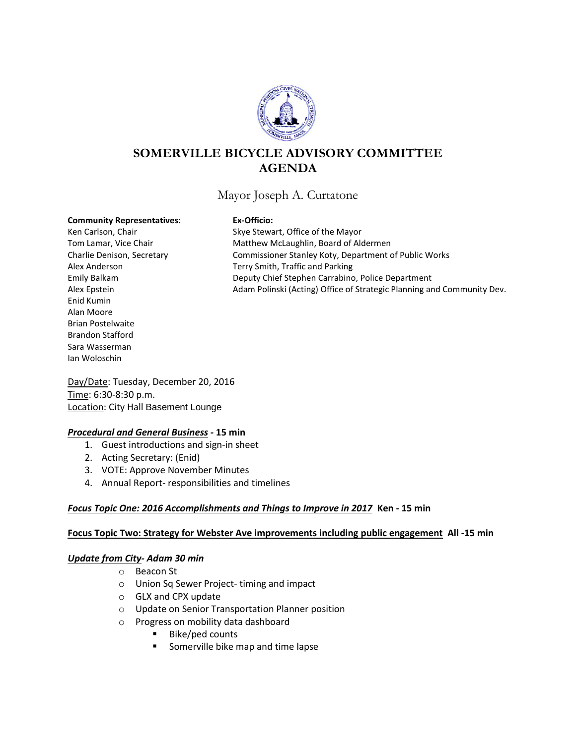

# **SOMERVILLE BICYCLE ADVISORY COMMITTEE AGENDA**

## Mayor Joseph A. Curtatone

#### **Community Representatives: Ex-Officio:**

Enid Kumin Alan Moore Brian Postelwaite Brandon Stafford Sara Wasserman Ian Woloschin

Ken Carlson, Chair Skye Stewart, Office of the Mayor Tom Lamar, Vice Chair **Matthew McLaughlin, Board of Aldermen** Charlie Denison, Secretary Commissioner Stanley Koty, Department of Public Works Alex Anderson Terry Smith, Traffic and Parking Emily Balkam Deputy Chief Stephen Carrabino, Police Department Alex Epstein Adam Polinski (Acting) Office of Strategic Planning and Community Dev.

Day/Date: Tuesday, December 20, 2016 Time: 6:30-8:30 p.m. Location: City Hall Basement Lounge

### *Procedural and General Business -* **15 min**

- 1. Guest introductions and sign-in sheet
- 2. Acting Secretary: (Enid)
- 3. VOTE: Approve November Minutes
- 4. Annual Report- responsibilities and timelines

## *Focus Topic One: 2016 Accomplishments and Things to Improve in 2017* **Ken - 15 min**

### **Focus Topic Two: Strategy for Webster Ave improvements including public engagement All -15 min**

### *Update from City- Adam 30 min*

- o Beacon St
- o Union Sq Sewer Project- timing and impact
- o GLX and CPX update
- o Update on Senior Transportation Planner position
- o Progress on mobility data dashboard
	- Bike/ped counts
	- **Somerville bike map and time lapse**